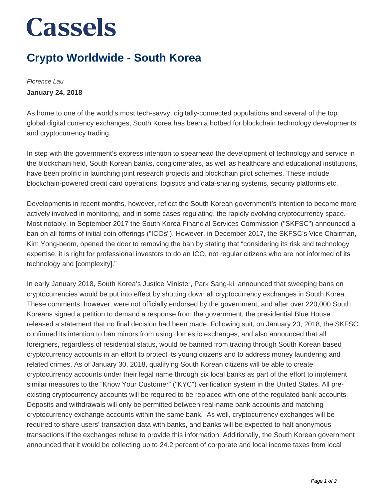## **Cassels**

## **Crypto Worldwide - South Korea**

Florence Lau **January 24, 2018**

As home to one of the world's most tech-savvy, digitally-connected populations and several of the top global digital currency exchanges, South Korea has been a hotbed for blockchain technology developments and cryptocurrency trading.

In step with the government's express intention to spearhead the development of technology and service in the blockchain field, South Korean banks, conglomerates, as well as healthcare and educational institutions, have been prolific in launching joint research projects and blockchain pilot schemes. These include blockchain-powered credit card operations, logistics and data-sharing systems, security platforms etc.

Developments in recent months, however, reflect the South Korean government's intention to become more actively involved in monitoring, and in some cases regulating, the rapidly evolving cryptocurrency space. Most notably, in September 2017 the South Korea Financial Services Commission ("SKFSC") announced a ban on all forms of initial coin offerings ("ICOs"). However, in December 2017, the SKFSC's Vice Chairman, Kim Yong-beom, opened the door to removing the ban by stating that "considering its risk and technology expertise, it is right for professional investors to do an ICO, not regular citizens who are not informed of its technology and [complexity]."

In early January 2018, South Korea's Justice Minister, Park Sang-ki, announced that sweeping bans on cryptocurrencies would be put into effect by shutting down all cryptocurrency exchanges in South Korea. These comments, however, were not officially endorsed by the government, and after over 220,000 South Koreans signed a petition to demand a response from the government, the presidential Blue House released a statement that no final decision had been made. Following suit, on January 23, 2018, the SKFSC confirmed its intention to ban minors from using domestic exchanges, and also announced that all foreigners, regardless of residential status, would be banned from trading through South Korean based cryptocurrency accounts in an effort to protect its young citizens and to address money laundering and related crimes. As of January 30, 2018, qualifying South Korean citizens will be able to create cryptocurrency accounts under their legal name through six local banks as part of the effort to implement similar measures to the "Know Your Customer" ("KYC") verification system in the United States. All preexisting cryptocurrency accounts will be required to be replaced with one of the regulated bank accounts. Deposits and withdrawals will only be permitted between real-name bank accounts and matching cryptocurrency exchange accounts within the same bank. As well, cryptocurrency exchanges will be required to share users' transaction data with banks, and banks will be expected to halt anonymous transactions if the exchanges refuse to provide this information. Additionally, the South Korean government announced that it would be collecting up to 24.2 percent of corporate and local income taxes from local